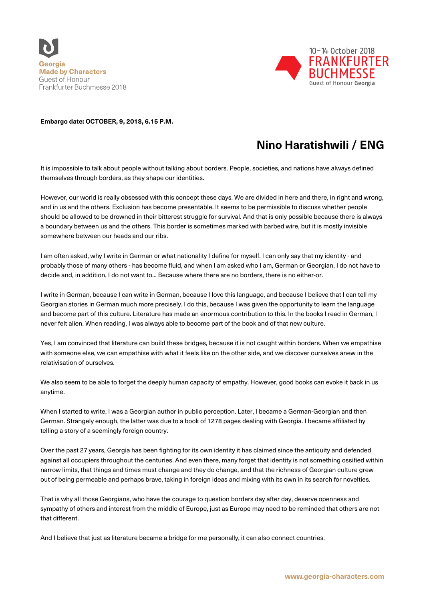



## **Embargo date: OCTOBER, 9, 2018, 6.15 P.M.**

## **Nino Haratishwili / ENG**

It is impossible to talk about people without talking about borders. People, societies, and nations have always defined themselves through borders, as they shape our identities.

However, our world is really obsessed with this concept these days. We are divided in here and there, in right and wrong, and in us and the others. Exclusion has become presentable. It seems to be permissible to discuss whether people should be allowed to be drowned in their bitterest struggle for survival. And that is only possible because there is always a boundary between us and the others. This border is sometimes marked with barbed wire, but it is mostly invisible somewhere between our heads and our ribs.

I am often asked, why I write in German or what nationality I define for myself. I can only say that my identity - and probably those of many others - has become fluid, and when I am asked who I am, German or Georgian, I do not have to decide and, in addition, I do not want to... Because where there are no borders, there is no either-or.

I write in German, because I can write in German, because I love this language, and because I believe that I can tell my Georgian stories in German much more precisely. I do this, because I was given the opportunity to learn the language and become part of this culture. Literature has made an enormous contribution to this. In the books I read in German, I never felt alien. When reading, I was always able to become part of the book and of that new culture.

Yes, I am convinced that literature can build these bridges, because it is not caught within borders. When we empathise with someone else, we can empathise with what it feels like on the other side, and we discover ourselves anew in the relativisation of ourselves.

We also seem to be able to forget the deeply human capacity of empathy. However, good books can evoke it back in us anytime.

When I started to write, I was a Georgian author in public perception. Later, I became a German-Georgian and then German. Strangely enough, the latter was due to a book of 1278 pages dealing with Georgia. I became affiliated by telling a story of a seemingly foreign country.

Over the past 27 years, Georgia has been fighting for its own identity it has claimed since the antiquity and defended against all occupiers throughout the centuries. And even there, many forget that identity is not something ossified within narrow limits, that things and times must change and they do change, and that the richness of Georgian culture grew out of being permeable and perhaps brave, taking in foreign ideas and mixing with its own in its search for novelties.

That is why all those Georgians, who have the courage to question borders day after day, deserve openness and sympathy of others and interest from the middle of Europe, just as Europe may need to be reminded that others are not that different.

And I believe that just as literature became a bridge for me personally, it can also connect countries.